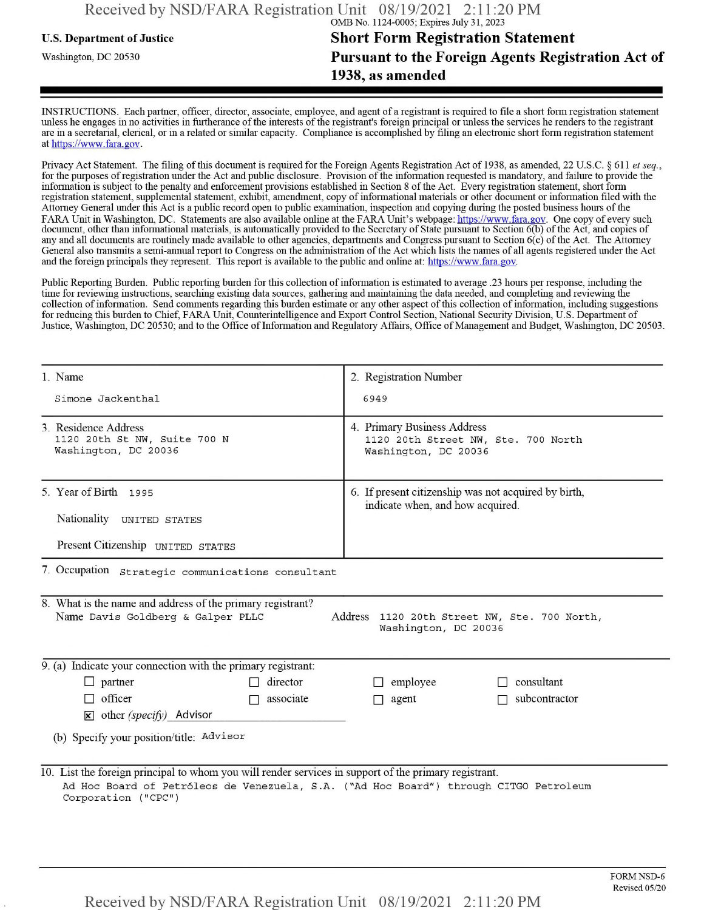## **u.s. Department of Justice Short Form Registration Statement** Washington, dc <sup>20530</sup>**Pursuant to the Foreign Agents Registration Act of 1938, as amended**

INSTRUCTIONS. Each partner, officer, director, associate, employee, and agent of a registrant is required to file a short form registration statement unless he engages in no activities in furtherance ofthe interests ofthe registrant's foreign principal or unless the services he renders to the registrant are in a secretarial, clerical, or in a related or similar capacity. Compliance is accomplished by filing an electronic short form registration statement at https://www.fara.gov.

Privacy Act Statement. The filing of this document is required for the Foreign Agents Registration Act of 1938, as amended, 22 U.S.C. § 611 et seq., for the purposes ofregistration under the Act and public disclosure. Provision ofthe information requested is mandatory, and failure to provide the information is subject to the penalty and enforcement provisions established in Section 8 of the Act. Every registration statement, short form registration statement, supplemental statement, exhibit, amendment, copy ofinformational materials or other document or information filed with the Attorney General under this Act is a public record open to public examination, inspection and copying during the posted business hours ofthe FARA Unit in Washington, DC. Statements are also available online at the FARA Unit's webpage: https://www.fara.gov. One copy of every such document, other than informational materials, is automatically provided to the Secretary of State pursuant to Section 6(b) of the Act, and copies of any and all documents are routinely made available to other agencies, departments and Congress pursuant to Section 6(c) ofthe Act. The Attorney General also transmits a semi-annual report to Congress on the administration ofthe Act which lists the names of all agents registered under the Act and the foreign principals they represent. This report is available to the public and online at: https://www.fara.gov.

Public Reporting Burden. Public reporting burden for this collection ofinformation is estimated to average .23 hours per response, including the time for reviewing instructions, searching existing data sources, gathering and maintaining the data needed, and completing and reviewing the collection of information. Send comments regarding this burden estimate or any other aspect of this collection of information, including suggestions for reducing this burden to Chief, FARA Unit, Counterintelligence and Export Control Section, National Security Division, U.S. Department of Justice, Washington, DC 20530; and to the Office of Information and Regulatory Affairs, Office of Management and Budget, Washington, DC 20503.

| 1. Name                                                                                                                                                                                                               | 2. Registration Number                                                                     |  |  |  |  |  |
|-----------------------------------------------------------------------------------------------------------------------------------------------------------------------------------------------------------------------|--------------------------------------------------------------------------------------------|--|--|--|--|--|
| Simone Jackenthal                                                                                                                                                                                                     | 6949                                                                                       |  |  |  |  |  |
| 3. Residence Address<br>1120 20th St NW, Suite 700 N<br>Washington, DC 20036                                                                                                                                          | 4. Primary Business Address<br>1120 20th Street NW, Ste. 700 North<br>Washington, DC 20036 |  |  |  |  |  |
| 5. Year of Birth 1995                                                                                                                                                                                                 | 6. If present citizenship was not acquired by birth,<br>indicate when, and how acquired.   |  |  |  |  |  |
| Nationality UNITED STATES                                                                                                                                                                                             |                                                                                            |  |  |  |  |  |
| Present Citizenship UNITED STATES                                                                                                                                                                                     |                                                                                            |  |  |  |  |  |
| 7. Occupation strategic communications consultant                                                                                                                                                                     |                                                                                            |  |  |  |  |  |
| 8. What is the name and address of the primary registrant?<br>Name Davis Goldberg & Galper PLLC<br>Address 1120 20th Street NW, Ste. 700 North,<br>Washington, DC 20036                                               |                                                                                            |  |  |  |  |  |
| 9. (a) Indicate your connection with the primary registrant:                                                                                                                                                          |                                                                                            |  |  |  |  |  |
| $\Box$ partner<br>director                                                                                                                                                                                            | consultant<br>employee                                                                     |  |  |  |  |  |
| officer<br>associate<br>П.<br>П                                                                                                                                                                                       | subcontractor<br>agent                                                                     |  |  |  |  |  |
| $\mathbf{\times}$ other (specify) Advisor                                                                                                                                                                             |                                                                                            |  |  |  |  |  |
| (b) Specify your position/title: Advisor                                                                                                                                                                              |                                                                                            |  |  |  |  |  |
| 10. List the foreign principal to whom you will render services in support of the primary registrant.<br>Ad Hoc Board of Petróleos de Venezuela, S.A. ("Ad Hoc Board") through CITGO Petroleum<br>Corporation ("CPC") |                                                                                            |  |  |  |  |  |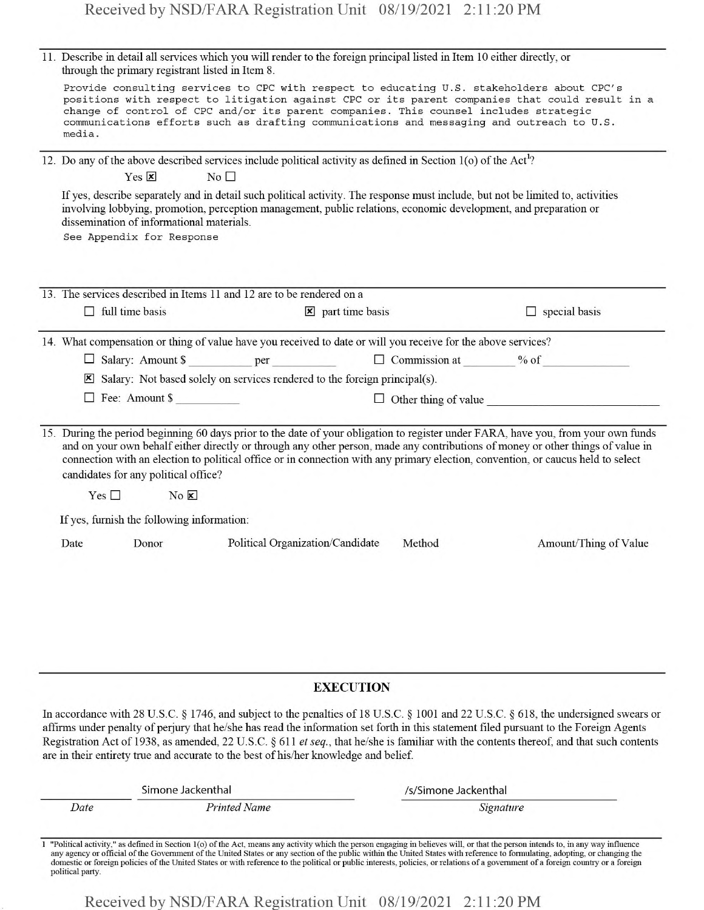| 11. Describe in detail all services which you will render to the foreign principal listed in Item 10 either directly, or<br>through the primary registrant listed in Item 8. |                                                                                                                                                                                                                                                                                                                                                                                               |                                                                                                               |                 |                                                                                        |                                                                                                                              |                                                                                                                                                                                                                                                                                                                                                                                                           |  |
|------------------------------------------------------------------------------------------------------------------------------------------------------------------------------|-----------------------------------------------------------------------------------------------------------------------------------------------------------------------------------------------------------------------------------------------------------------------------------------------------------------------------------------------------------------------------------------------|---------------------------------------------------------------------------------------------------------------|-----------------|----------------------------------------------------------------------------------------|------------------------------------------------------------------------------------------------------------------------------|-----------------------------------------------------------------------------------------------------------------------------------------------------------------------------------------------------------------------------------------------------------------------------------------------------------------------------------------------------------------------------------------------------------|--|
|                                                                                                                                                                              | Provide consulting services to CPC with respect to educating U.S. stakeholders about CPC's<br>positions with respect to litigation against CPC or its parent companies that could result in a<br>change of control of CPC and/or its parent companies. This counsel includes strategic<br>communications efforts such as drafting communications and messaging and outreach to U.S.<br>media. |                                                                                                               |                 |                                                                                        |                                                                                                                              |                                                                                                                                                                                                                                                                                                                                                                                                           |  |
|                                                                                                                                                                              | Yes $\boxed{\mathbf{x}}$                                                                                                                                                                                                                                                                                                                                                                      |                                                                                                               | No <sub>1</sub> |                                                                                        | 12. Do any of the above described services include political activity as defined in Section $1(o)$ of the Act <sup>1</sup> ? |                                                                                                                                                                                                                                                                                                                                                                                                           |  |
|                                                                                                                                                                              | dissemination of informational materials.<br>See Appendix for Response                                                                                                                                                                                                                                                                                                                        |                                                                                                               |                 |                                                                                        |                                                                                                                              | If yes, describe separately and in detail such political activity. The response must include, but not be limited to, activities<br>involving lobbying, promotion, perception management, public relations, economic development, and preparation or                                                                                                                                                       |  |
|                                                                                                                                                                              | 13. The services described in Items 11 and 12 are to be rendered on a                                                                                                                                                                                                                                                                                                                         |                                                                                                               |                 |                                                                                        |                                                                                                                              |                                                                                                                                                                                                                                                                                                                                                                                                           |  |
|                                                                                                                                                                              | $\Box$ full time basis                                                                                                                                                                                                                                                                                                                                                                        |                                                                                                               |                 | $\boxed{\mathbf{x}}$ part time basis                                                   |                                                                                                                              | $\Box$ special basis                                                                                                                                                                                                                                                                                                                                                                                      |  |
|                                                                                                                                                                              |                                                                                                                                                                                                                                                                                                                                                                                               | 14. What compensation or thing of value have you received to date or will you receive for the above services? |                 |                                                                                        |                                                                                                                              |                                                                                                                                                                                                                                                                                                                                                                                                           |  |
|                                                                                                                                                                              |                                                                                                                                                                                                                                                                                                                                                                                               |                                                                                                               |                 |                                                                                        |                                                                                                                              |                                                                                                                                                                                                                                                                                                                                                                                                           |  |
|                                                                                                                                                                              |                                                                                                                                                                                                                                                                                                                                                                                               |                                                                                                               |                 | $\boxtimes$ Salary: Not based solely on services rendered to the foreign principal(s). |                                                                                                                              |                                                                                                                                                                                                                                                                                                                                                                                                           |  |
|                                                                                                                                                                              |                                                                                                                                                                                                                                                                                                                                                                                               | $\Box$ Fee: Amount \$                                                                                         |                 |                                                                                        |                                                                                                                              | $\Box$ Other thing of value                                                                                                                                                                                                                                                                                                                                                                               |  |
|                                                                                                                                                                              | candidates for any political office?                                                                                                                                                                                                                                                                                                                                                          |                                                                                                               |                 |                                                                                        |                                                                                                                              | 15. During the period beginning 60 days prior to the date of your obligation to register under FARA, have you, from your own funds<br>and on your own behalf either directly or through any other person, made any contributions of money or other things of value in<br>connection with an election to political office or in connection with any primary election, convention, or caucus held to select |  |
|                                                                                                                                                                              | Yes $\square$                                                                                                                                                                                                                                                                                                                                                                                 | No E                                                                                                          |                 |                                                                                        |                                                                                                                              |                                                                                                                                                                                                                                                                                                                                                                                                           |  |
|                                                                                                                                                                              | If yes, furnish the following information:                                                                                                                                                                                                                                                                                                                                                    |                                                                                                               |                 |                                                                                        |                                                                                                                              |                                                                                                                                                                                                                                                                                                                                                                                                           |  |
|                                                                                                                                                                              | Date                                                                                                                                                                                                                                                                                                                                                                                          | Donor                                                                                                         |                 | Political Organization/Candidate                                                       | Method                                                                                                                       | Amount/Thing of Value                                                                                                                                                                                                                                                                                                                                                                                     |  |
|                                                                                                                                                                              |                                                                                                                                                                                                                                                                                                                                                                                               |                                                                                                               |                 |                                                                                        |                                                                                                                              |                                                                                                                                                                                                                                                                                                                                                                                                           |  |
|                                                                                                                                                                              |                                                                                                                                                                                                                                                                                                                                                                                               |                                                                                                               |                 |                                                                                        |                                                                                                                              |                                                                                                                                                                                                                                                                                                                                                                                                           |  |
|                                                                                                                                                                              |                                                                                                                                                                                                                                                                                                                                                                                               |                                                                                                               |                 |                                                                                        |                                                                                                                              |                                                                                                                                                                                                                                                                                                                                                                                                           |  |

#### **EXECUTION**

In accordance with 28 U.S.C. § 1746, and subject to the penalties of 18 U.S.C. § 1001 and 22 U.S.C. § 618, the undersigned swears or affirms under penalty of perjury that he/she has read the information set forth in this statement filed pursuant to the Foreign Agents Registration Act of 1938, as amended, 22 U.S.C. § 611 *etseq.,* that he/she is familiar with the contents thereof, and that such contents are in their entirety true and accurate to the best of his/her knowledge and belief.

|      | Simone Jackenthal   | /s/Simone Jackenthal |
|------|---------------------|----------------------|
| Date | <b>Printed Name</b> | Signature            |
|      |                     |                      |

<sup>1</sup> "Political activity." as defined in Section l(o) ofthe Act, means any activity which the person engaging in believes will, or that the person intends to, in any way influence any agency or official of the Government of the United States or any section of the public within the United States with reference to formulating, adopting, or changing the domestic or foreign policies of the United States or with reference to the political or public interests, policies, or relations of a government of a foreign country or a foreign political party.

Received by NSD/FARA Registration Unit 08/19/2021 2:11:20 PM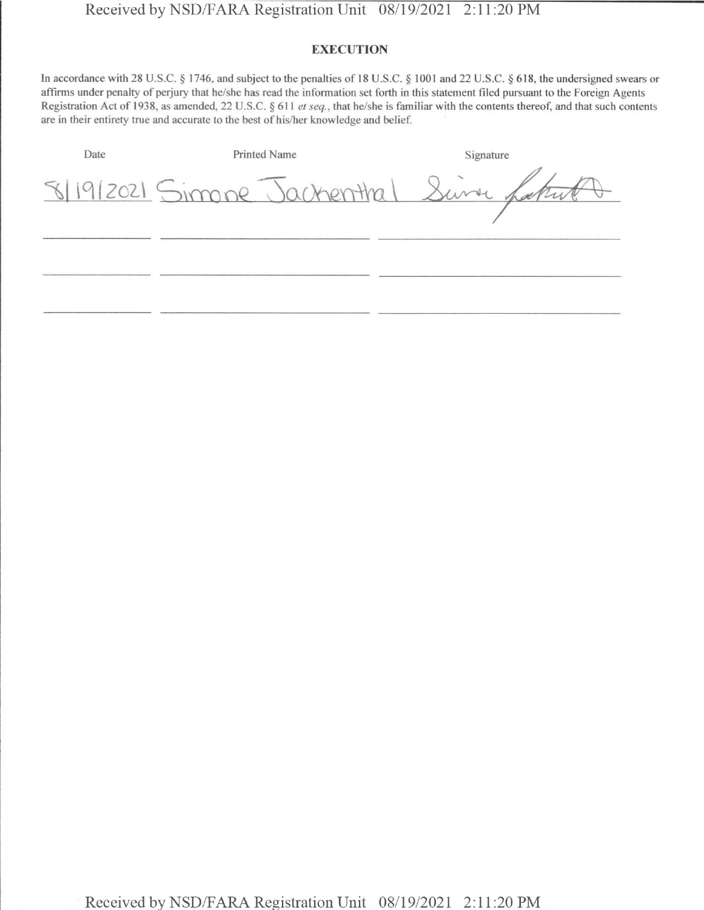### **EXECUTION**

In accordance with 28 U.S.C. § 1746, and subject to the penalties of 18 U.S.C. § 1001 and 22 U.S.C. § 618, the undersigned swears or affirms under penalty of perjury that he/she has read the information set forth in this statement filed pursuant to the Foreign Agents Registration Act of 1938, as amended, 22 U.S.C. § 611 *et seq*., that he/she is familiar with the contents thereof, and that such contents are in their entirety true and accurate to the best of his/her knowledge and belief.

| Date | Printed Name                            | Signature |
|------|-----------------------------------------|-----------|
|      | 8/19/2021 Simone Jackenthal Sure Latrut |           |
|      |                                         |           |
|      |                                         |           |
|      |                                         |           |